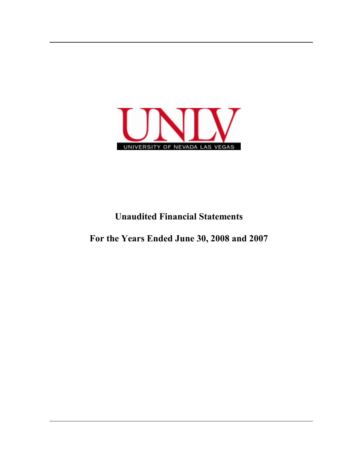

# **Unaudited Financial Statements**

**For the Years Ended June 30, 2008 and 2007**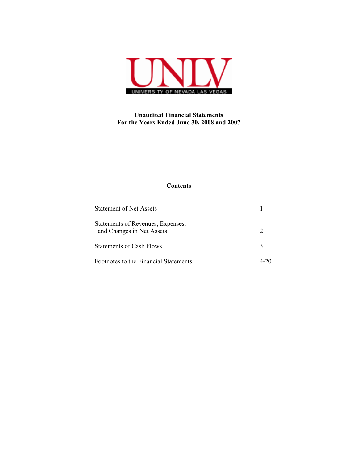

## **Unaudited Financial Statements For the Years Ended June 30, 2008 and 2007**

### **Contents**

| <b>Statement of Net Assets</b>                                 |  |
|----------------------------------------------------------------|--|
| Statements of Revenues, Expenses,<br>and Changes in Net Assets |  |
| <b>Statements of Cash Flows</b>                                |  |
| Footnotes to the Financial Statements                          |  |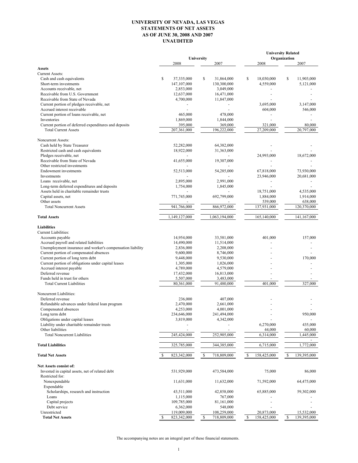#### **UNIVERSITY OF NEVADA, LAS VEGAS STATEMENTS OF NET ASSETS AS OF JUNE 30, 2008 AND 2007 UNAUDITED**

|                                                                         |                              |                          | <b>University Related</b><br>Organization |                   |
|-------------------------------------------------------------------------|------------------------------|--------------------------|-------------------------------------------|-------------------|
|                                                                         | 2008                         | University<br>2007       | 2008                                      | 2007              |
| <b>Assets</b>                                                           |                              |                          |                                           |                   |
| <b>Current Assets:</b>                                                  |                              |                          |                                           |                   |
| Cash and cash equivalents                                               | \$<br>37,335,000             | \$<br>31,864,000         | \$<br>18,030,000                          | \$<br>11,903,000  |
| Short-term investments                                                  | 147,107,000                  | 130,300,000              | 4,559,000                                 | 5,121,000         |
| Accounts receivable, net                                                | 2,853,000                    | 3,049,000                |                                           |                   |
| Receivable from U.S. Government                                         | 12,637,000                   | 16,471,000               |                                           |                   |
| Receivable from State of Nevada                                         | 4,700,000                    | 11,847,000               |                                           |                   |
| Current portion of pledges receivable, net                              |                              |                          | 3,695,000                                 | 3,147,000         |
| Accrued interest receivable<br>Current portion of loans receivable, net | 465,000                      | 478,000                  | 604,000                                   | 546,000           |
| Inventories                                                             | 1,869,000                    | 1,844,000                |                                           |                   |
| Current portion of deferred expenditures and deposits                   | 395,000                      | 369,000                  | 321,000                                   | 80,000            |
| <b>Total Current Assets</b>                                             | 207,361,000                  | 196,222,000              | 27,209,000                                | 20,797,000        |
|                                                                         |                              |                          |                                           |                   |
| Noncurrent Assets:<br>Cash held by State Treasurer                      | 52,282,000                   |                          |                                           |                   |
| Restricted cash and cash equivalents                                    | 18,922,000                   | 64,382,000<br>31,363,000 |                                           |                   |
| Pledges receivable, net                                                 |                              |                          | 24,993,000                                | 18,672,000        |
| Receivable from State of Nevada                                         | 41,655,000                   | 19,307,000               |                                           |                   |
| Other restricted investments                                            |                              |                          |                                           |                   |
| <b>Endowment</b> investments                                            | 52,513,000                   | 54,285,000               | 67,818,000                                | 73,930,000        |
| Investments                                                             |                              |                          | 23,946,000                                | 20,681,000        |
| Loans receivable, net                                                   | 2,895,000                    | 2,991,000                |                                           |                   |
| Long-term deferred expenditures and deposits                            | 1,754,000                    | 1,845,000                |                                           |                   |
| Assets held in charitable remainder trusts                              |                              |                          | 18,751,000                                | 4,535,000         |
| Capital assets, net                                                     | 771,745,000                  | 692,799,000              | 1,884,000                                 | 1,914,000         |
| Other assets                                                            |                              |                          | 539,000                                   | 638,000           |
| <b>Total Noncurrent Assets</b>                                          | 941,766,000                  | 866,972,000              | 137,931,000                               | 120,370,000       |
| <b>Total Assets</b>                                                     | 1,149,127,000                | 1,063,194,000            | 165,140,000                               | 141,167,000       |
|                                                                         |                              |                          |                                           |                   |
| <b>Liabilities</b>                                                      |                              |                          |                                           |                   |
| Current Liabilities:                                                    | 14,954,000                   | 33,581,000               | 401,000                                   | 157,000           |
| Accounts payable<br>Accrued payroll and related liabilities             | 14,490,000                   | 11,514,000               |                                           |                   |
| Unemployment insurance and worker's compensation liability              | 2,836,000                    | 2,208,000                |                                           |                   |
| Current portion of compensated absences                                 | 9,600,000                    | 8,746,000                |                                           |                   |
| Current portion of long term debt                                       | 9,448,000                    | 9,530,000                |                                           | 170,000           |
| Current portion of obligations under capital leases                     | 1,305,000                    | 1,026,000                |                                           |                   |
| Accrued interest payable                                                | 4,789,000                    | 4,579,000                |                                           |                   |
| Deferred revenue                                                        | 17,432,000                   | 16,813,000               |                                           |                   |
| Funds held in trust for others                                          | 5,507,000                    | 3,483,000                |                                           |                   |
| <b>Total Current Liabilities</b>                                        | 80,361,000                   | 91,480,000               | 401.000                                   | 327,000           |
| Noncurrent Liabilities:                                                 |                              |                          |                                           |                   |
| Deferred revenue                                                        | 236,000                      | 407,000                  |                                           |                   |
| Refundable advances under federal loan program                          | 2,470,000                    | 2,661,000                |                                           |                   |
| Compensated absences                                                    | 4,253,000                    | 4,001,000                |                                           |                   |
| Long term debt                                                          | 234,646,000                  | 241,494,000              |                                           | 950,000           |
| Obligations under capital leases                                        | 3,819,000                    | 4,342,000                |                                           |                   |
| Liability under charitable remainder trusts                             |                              |                          | 6,270,000                                 | 435,000           |
| Other liabilities                                                       |                              |                          | 44,000                                    | 60,000            |
| <b>Total Noncurrent Liabilities</b>                                     | 245,424,000                  | 252,905,000              | 6,314,000                                 | 1,445,000         |
| <b>Total Liabilities</b>                                                | 325,785,000                  | 344,385,000              | 6,715,000                                 | 1,772,000         |
| <b>Total Net Assets</b>                                                 | 823,342,000                  | S<br>718,809,000         | 158,425,000<br>\$                         | 139,395,000<br>\$ |
|                                                                         |                              |                          |                                           |                   |
| Net Assets consist of:                                                  |                              |                          |                                           |                   |
| Invested in capital assets, net of related debt                         | 531,929,000                  | 473,584,000              | 75,000                                    | 86,000            |
| Restricted for:                                                         |                              |                          |                                           |                   |
| Nonexpendable                                                           | 11,631,000                   | 11,632,000               | 71,592,000                                | 64,475,000        |
| Expendable<br>Scholarships, research and instruction                    |                              | 42,858,000               | 65,885,000                                | 59,302,000        |
| Loans                                                                   | 43,511,000<br>1,115,000      | 767,000                  |                                           |                   |
| Capital projects                                                        | 109,785,000                  | 81,161,000               |                                           |                   |
| Debt service                                                            | 6,362,000                    | 548,000                  |                                           |                   |
| Unrestricted                                                            | 119,009,000                  | 108,259,000              | 20,873,000                                | 15,532,000        |
| <b>Total Net Assets</b>                                                 | 823,342,000<br><sup>\$</sup> | \$<br>718,809,000        | 158,425,000<br>\$                         | \$<br>139,395,000 |

The accompanying notes are an integral part of these financial statements.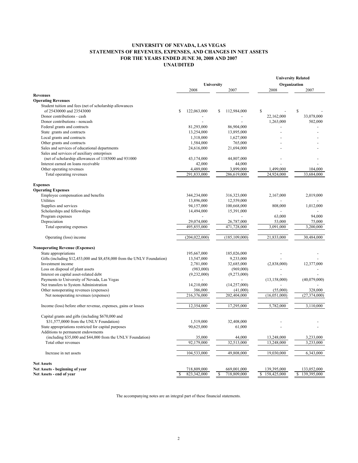### **UNIVERSITY OF NEVADA, LAS VEGAS STATEMENTS OF REVENUES, EXPENSES, AND CHANGES IN NET ASSETS FOR THE YEARS ENDED JUNE 30, 2008 AND 2007 UNAUDITED**

|                                                                         |                              |                  |                   | <b>University Related</b> |
|-------------------------------------------------------------------------|------------------------------|------------------|-------------------|---------------------------|
|                                                                         | University                   |                  | Organization      |                           |
|                                                                         | 2008                         | 2007             | 2008              | 2007                      |
| <b>Revenues</b>                                                         |                              |                  |                   |                           |
| <b>Operating Revenues</b>                                               |                              |                  |                   |                           |
| Student tuition and fees (net of scholarship allowances                 |                              |                  |                   |                           |
| of 25430000 and 23543000                                                | \$<br>122,063,000            | 112,984,000<br>S | \$                | $\mathbf S$               |
| Donor contributions - cash                                              |                              |                  | 22,162,000        | 33,078,000                |
| Donor contributions - noncash                                           |                              |                  | 1,263,000         | 502,000                   |
| Federal grants and contracts                                            | 81,293,000                   | 86,904,000       |                   |                           |
| State grants and contracts                                              | 13,254,000                   | 13,895,000       |                   |                           |
| Local grants and contracts                                              | 1,318,000                    | 1,627,000        |                   |                           |
| Other grants and contracts                                              | 1,584,000                    | 765,000          |                   |                           |
| Sales and services of educational departments                           | 24,616,000                   | 21,694,000       |                   |                           |
| Sales and services of auxiliary enterprises                             |                              |                  |                   |                           |
| (net of scholarship allowances of 1185000 and 931000                    | 43,174,000                   | 44,807,000       |                   |                           |
| Interest earned on loans receivable                                     | 42,000                       | 44,000           |                   |                           |
| Other operating revenues                                                | 4,489,000                    | 3,899,000        | 1,499,000         | 104,000                   |
| Total operating revenues                                                | 291,833,000                  | 286,619,000      | 24,924,000        | 33,684,000                |
|                                                                         |                              |                  |                   |                           |
| <b>Expenses</b>                                                         |                              |                  |                   |                           |
| <b>Operating Expenses</b>                                               |                              |                  |                   |                           |
| Employee compensation and benefits                                      | 344,234,000                  | 316,323,000      | 2,167,000         | 2,019,000                 |
| Utilities                                                               | 13,896,000                   | 12,559,000       |                   |                           |
|                                                                         |                              |                  | 808,000           |                           |
| Supplies and services                                                   | 94,157,000                   | 100,668,000      |                   | 1,012,000                 |
| Scholarships and fellowships                                            | 14,494,000                   | 15,391,000       |                   |                           |
| Program expenses                                                        |                              |                  | 63,000            | 94,000                    |
| Depreciation                                                            | 29,074,000                   | 26,787,000       | 53,000            | 75,000                    |
| Total operating expenses                                                | 495,855,000                  | 471,728,000      | 3,091,000         | 3,200,000                 |
| Operating (loss) income                                                 | (204, 022, 000)              | (185, 109, 000)  | 21,833,000        | 30,484,000                |
| <b>Nonoperating Revenue (Expenses)</b>                                  |                              |                  |                   |                           |
| State appropriations                                                    | 195,667,000                  | 185,026,000      |                   |                           |
| Gifts (including \$12,453,000 and \$8,458,000 from the UNLV Foundation) | 13,547,000                   | 9,233,000        |                   |                           |
| Investment income                                                       | 2,781,000                    | 32,685,000       | (2,838,000)       | 12,377,000                |
| Loss on disposal of plant assets                                        | (983,000)                    | (969,000)        | $\overline{a}$    |                           |
| Interest on capital asset-related debt                                  | (9,232,000)                  | (9,273,000)      |                   |                           |
| Payments to University of Nevada, Las Vegas                             |                              |                  | (13, 158, 000)    | (40,079,000)              |
| Net transfers to System Administration                                  | 14,210,000                   | (14, 257, 000)   |                   |                           |
| Other nonoperating revenues (expenses)                                  | 386,000                      | (41,000)         | (55,000)          | 328,000                   |
| Net nonoperating revenues (expenses)                                    | 216,376,000                  | 202,404,000      | (16,051,000)      | (27, 374, 000)            |
|                                                                         |                              |                  |                   |                           |
| Income (loss) before other revenue, expenses, gains or losses           | 12,354,000                   | 17,295,000       | 5,782,000         | 3.110.000                 |
| Capital grants and gifts (including \$670,000 and                       |                              |                  |                   |                           |
| \$31,577,0000 from the UNLV Foundation)                                 | 1,519,000                    | 32,408,000       |                   |                           |
| State appropriations restricted for capital purposes                    | 90,625,000                   | 61,000           |                   |                           |
| Additions to permanent endowments                                       |                              |                  |                   |                           |
| (including \$35,000 and \$44,000 from the UNLV Foundation)              | 35,000                       | 44,000           | 13,248,000        | 3,233,000                 |
| Total other revenues                                                    | 92,179,000                   | 32,513,000       | 13,248,000        | 3,233,000                 |
| Increase in net assets                                                  | 104,533,000                  | 49,808,000       | 19,030,000        | 6,343,000                 |
| <b>Net Assets</b>                                                       |                              |                  |                   |                           |
| Net Assets - beginning of year                                          | 718,809,000                  | 669,001,000      | 139,395,000       | 133,052,000               |
| Net Assets - end of year                                                | 823.342.000<br><sup>\$</sup> | 718,809,000<br>S | 158,425,000<br>\$ | 139,395,000<br>\$         |

The accompanying notes are an integral part of these financial statements.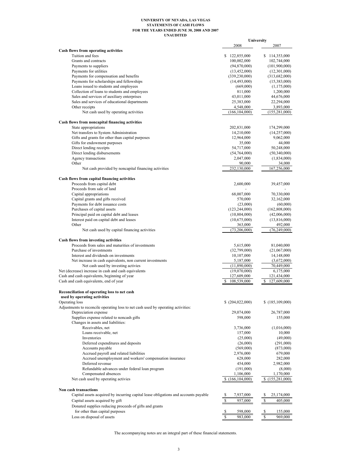#### **UNAUDITED UNIVERSITY OF NEVADA, LAS VEGAS STATEMENTS OF CASH FLOWS FOR THE YEARS ENDED JUNE 30, 2008 AND 2007**

|                                                                                     |                           | University                |
|-------------------------------------------------------------------------------------|---------------------------|---------------------------|
|                                                                                     | 2008                      | 2007                      |
| Cash flows from operating activities                                                |                           |                           |
| Tuition and fees                                                                    | \$122,855,000             | \$114,353,000             |
| Grants and contracts                                                                | 100,002,000               | 102,744,000               |
| Payments to suppliers                                                               | (94,870,000)              | (101,900,000)             |
| Payments for utilities                                                              | (13, 452, 000)            | (12, 301, 000)            |
| Payments for compensation and benefits                                              | (339, 230, 000)           | (313, 682, 000)           |
| Payments for scholarships and fellowships                                           | (14, 493, 000)            | (15,383,000)              |
| Loans issued to students and employees                                              | (669,000)                 | (1,175,000)               |
| Collection of loans to students and employees                                       | 811,000                   | 1,200,000                 |
| Sales and services of auxiliary enterprises                                         | 43,011,000                | 44,676,000                |
| Sales and services of educational departments                                       | 25,383,000                | 22,294,000                |
| Other receipts                                                                      | 4,548,000                 | 3,893,000                 |
| Net cash used by operating activities                                               | (166, 104, 000)           | (155, 281, 000)           |
| Cash flows from noncapital financing activities                                     |                           |                           |
| State appropriations                                                                | 202,831,000               | 174,299,000               |
| Net transfers to System Administration                                              | 14,210,000                | (14,257,000)              |
| Gifts and grants for other than capital purposes                                    | 12,964,000                | 9,062,000                 |
| Gifts for endowment purposes                                                        | 35,000                    | 44,000                    |
| Direct lending receipts                                                             | 54,717,000                | 50,248,000                |
| Direct lending disbursements                                                        | (54,764,000)              | (50,340,000)              |
| Agency transactions                                                                 | 2,047,000                 | (1,834,000)               |
| Other                                                                               | 90,000                    | 34,000                    |
| Net cash provided by noncapital financing activities                                | 232,130,000               | 167,256,000               |
|                                                                                     |                           |                           |
| Cash flows from capital financing activities<br>Proceeds from capital debt          | 2,600,000                 | 39,457,000                |
| Proceeds from sale of land                                                          |                           |                           |
| Capital appropriations                                                              | 68,007,000                | 70,330,000                |
| Capital grants and gifts received                                                   | 570,000                   | 32,162,000                |
| Payments for debt issuance costs                                                    | (23,000)                  | (60,000)                  |
| Purchases of capital assets                                                         |                           | (162,808,000)             |
| Principal paid on capital debt and leases                                           | (123, 244, 000)           |                           |
| Interest paid on capital debt and leases                                            | (10, 804, 000)            | (42,006,000)              |
| Other                                                                               | (10,675,000)              | (13,816,000)              |
| Net cash used by capital financing activities                                       | 363,000<br>(73, 206, 000) | 492,000<br>(76, 249, 000) |
|                                                                                     |                           |                           |
| <b>Cash flows from investing activities</b>                                         |                           |                           |
| Proceeds from sales and maturities of investments                                   | 5,615,000                 | 81,040,000                |
| Purchase of investments                                                             | (32,799,000)              | (21,067,000)              |
| Interest and dividends on investments                                               | 10,107,000                | 14,148,000                |
| Net increase in cash equivalents, non current investments                           | 5,187,000                 | (3,672,000)               |
| Net cash used by investing activies                                                 | (11,890,000)              | 70,449,000                |
| Net (decrease) increase in cash and cash equivalents                                | (19,070,000)              | 6,175,000                 |
| Cash and cash equivalents, beginning of year                                        | 127,609,000               | 121,434,000               |
| Cash and cash equivalents, end of year                                              | 108,539,000<br>S          | 127,609,000<br>\$         |
| Reconciliation of operating loss to net cash                                        |                           |                           |
| used by operating activities                                                        |                           |                           |
| Operating loss                                                                      | \$ (204,022,000)          | \$(185,109,000)           |
| Adjustments to reconcile operating loss to net cash used by operating activities:   |                           |                           |
| Depreciation expense                                                                | 29,074,000                | 26,787,000                |
| Supplies expense related to noncash gifts                                           | 598,000                   | 155,000                   |
| Changes in assets and liabilities:                                                  |                           |                           |
| Receivables, net                                                                    | 3,736,000                 | (1,016,000)               |
| Loans receivable, net                                                               | 157,000                   | 10,000                    |
| Inventories                                                                         | (25,000)                  | (49,000)                  |
| Deferred expenditures and deposits                                                  | (26,000)                  | (291,000)                 |
| Accounts payable                                                                    | (569,000)                 | (873,000)                 |
| Accrued payroll and related liabilities                                             | 2,976,000                 | 679,000                   |
| Accrued unemployment and workers' compensation insurance                            | 628,000                   | 282,000                   |
| Deferred revenue                                                                    | 454,000                   | 2,982,000                 |
| Refundable advances under federal loan program                                      | (191,000)                 | (8,000)                   |
| Compensated absences                                                                | 1,106,000                 | 1,170,000                 |
| Net cash used by operating activies                                                 | (166, 104, 000)           | \$(155, 281, 000)         |
| Non cash transactions                                                               |                           |                           |
| Capital assets acquired by incurring capital lease obligations and accounts payable | 7,937,000                 | 25,174,000                |
|                                                                                     |                           |                           |
| Capital assets acquired by gift                                                     | 957,000<br>S              | \$<br>405,000             |
| Donated supplies reducing proceeds of gifts and grants                              |                           |                           |
| for other than capital purposes                                                     | \$<br>598,000             | \$<br>155,000             |
| Loss on disposal of assets                                                          | \$<br>983,000             | $\mathbb{S}$<br>969,000   |

The accompanying notes are an integral part of these financial statements.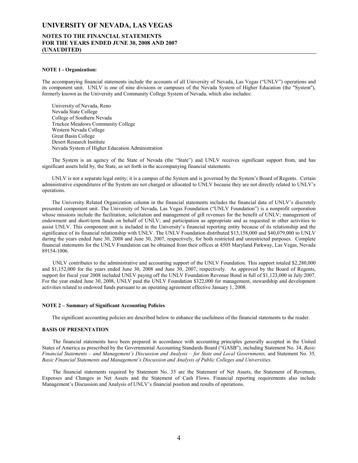### **NOTES TO THE FINANCIAL STATEMENTS FOR THE YEARS ENDED JUNE 30, 2008 AND 2007 (UNAUDITED)**

#### **NOTE 1 - Organization:**

The accompanying financial statements include the accounts of all University of Nevada, Las Vegas ("UNLV") operations and its component unit. UNLV is one of nine divisions or campuses of the Nevada System of Higher Education (the "System"), formerly known as the University and Community College System of Nevada, which also includes:

 University of Nevada, Reno Nevada State College College of Southern Nevada Truckee Meadows Community College Western Nevada College Great Basin College Desert Research Institute Nevada System of Higher Education Administration

 The System is an agency of the State of Nevada (the "State") and UNLV receives significant support from, and has significant assets held by, the State, as set forth in the accompanying financial statements.

 UNLV is not a separate legal entity; it is a campus of the System and is governed by the System's Board of Regents. Certain administrative expenditures of the System are not charged or allocated to UNLV because they are not directly related to UNLV's operations.

The University Related Organization column in the financial statements includes the financial data of UNLV's discretely presented component unit. The University of Nevada, Las Vegas Foundation ("UNLV Foundation") is a nonprofit corporation whose missions include the facilitation, solicitation and management of gift revenues for the benefit of UNLV; management of endowment and short-term funds on behalf of UNLV; and participation as appropriate and as requested in other activities to assist UNLV. This component unit is included in the University's financial reporting entity because of its relationship and the significance of its financial relationship with UNLV. The UNLV Foundation distributed \$13,158,000 and \$40,079,000 to UNLV during the years ended June 30, 2008 and June 30, 2007, respectively, for both restricted and unrestricted purposes. Complete financial statements for the UNLV Foundation can be obtained from their offices at 4505 Maryland Parkway, Las Vegas, Nevada 89154-1006.

 UNLV contributes to the administrative and accounting support of the UNLV Foundation. This support totaled \$2,280,000 and \$1,152,000 for the years ended June 30, 2008 and June 30, 2007, respectively. As approved by the Board of Regents, support for fiscal year 2008 included UNLV paying off the UNLV Foundation Revenue Bond in full of \$1,123,000 in July 2007. For the year ended June 30, 2008, UNLV paid the UNLV Foundation \$322,000 for management, stewardship and development activities related to endowed funds pursuant to an operating agreement effective January 1, 2008.

#### **NOTE 2 – Summary of Significant Accounting Policies**

The significant accounting policies are described below to enhance the usefulness of the financial statements to the reader.

#### **BASIS OF PRESENTATION**

 The financial statements have been prepared in accordance with accounting principles generally accepted in the United States of America as prescribed by the Governmental Accounting Standards Board ("GASB"), including Statement No. 34, *Basic Financial Statements – and Management's Discussion and Analysis – for State and Local Governments,* and Statement No. 35*, Basic Financial Statements and Management's Discussion and Analysis of Public Colleges and Universities*.

 The financial statements required by Statement No. 35 are the Statement of Net Assets, the Statement of Revenues, Expenses and Changes in Net Assets and the Statement of Cash Flows. Financial reporting requirements also include Management's Discussion and Analysis of UNLV's financial position and results of operations.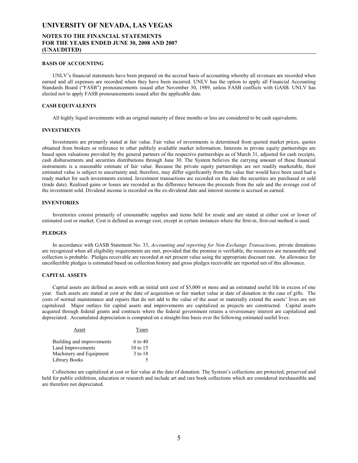### **NOTES TO THE FINANCIAL STATEMENTS FOR THE YEARS ENDED JUNE 30, 2008 AND 2007 (UNAUDITED)**

#### **BASIS OF ACCOUNTING**

 UNLV's financial statements have been prepared on the accrual basis of accounting whereby all revenues are recorded when earned and all expenses are recorded when they have been incurred. UNLV has the option to apply all Financial Accounting Standards Board ("FASB") pronouncements issued after November 30, 1989, unless FASB conflicts with GASB. UNLV has elected not to apply FASB pronouncements issued after the applicable date.

#### **CASH EQUIVALENTS**

All highly liquid investments with an original maturity of three months or less are considered to be cash equivalents.

#### **INVESTMENTS**

 Investments are primarily stated at fair value. Fair value of investments is determined from quoted market prices, quotes obtained from brokers or reference to other publicly available market information. Interests in private equity partnerships are based upon valuations provided by the general partners of the respective partnerships as of March 31, adjusted for cash receipts, cash disbursements and securities distributions through June 30. The System believes the carrying amount of these financial instruments is a reasonable estimate of fair value. Because the private equity partnerships are not readily marketable, their estimated value is subject to uncertainty and, therefore, may differ significantly from the value that would have been used had a ready market for such investments existed. Investment transactions are recorded on the date the securities are purchased or sold (trade date). Realized gains or losses are recorded as the difference between the proceeds from the sale and the average cost of the investment sold. Dividend income is recorded on the ex-dividend date and interest income is accrued as earned.

#### **INVENTORIES**

 Inventories consist primarily of consumable supplies and items held for resale and are stated at either cost or lower of estimated cost or market. Cost is defined as average cost, except in certain instances where the first-in, first-out method is used.

#### **PLEDGES**

 In accordance with GASB Statement No. 33, *Accounting and reporting for Non-Exchange Transactions,* private donations are recognized when all eligibility requirements are met, provided that the promise is verifiable, the resources are measurable and collection is probable. Pledges receivable are recorded at net present value using the appropriate discount rate. An allowance for uncollectible pledges is estimated based on collection history and gross pledges receivable are reported net of this allowance.

#### **CAPITAL ASSETS**

 Capital assets are defined as assets with an initial unit cost of \$5,000 or more and an estimated useful life in excess of one year. Such assets are stated at cost at the date of acquisition or fair market value at date of donation in the case of gifts. The costs of normal maintenance and repairs that do not add to the value of the asset or materially extend the assets' lives are not capitalized. Major outlays for capital assets and improvements are capitalized as projects are constructed. Capital assets acquired through federal grants and contracts where the federal government retains a reversionary interest are capitalized and depreciated. Accumulated depreciation is computed on a straight-line basis over the following estimated useful lives:

| Asset                     | Years      |
|---------------------------|------------|
| Building and improvements | 6 to 40    |
| Land Improvements         | 10 to $15$ |
| Machinery and Equipment   | 3 to 18    |
| Library Books             |            |

 Collections are capitalized at cost or fair value at the date of donation. The System's collections are protected, preserved and held for public exhibition, education or research and include art and rare book collections which are considered inexhaustible and are therefore not depreciated.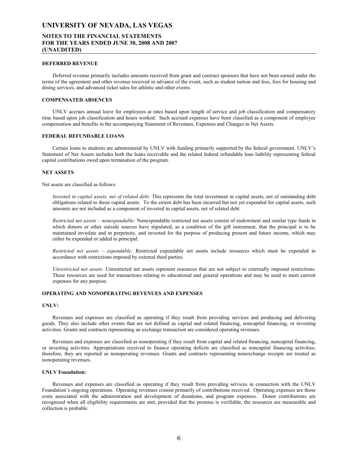### **NOTES TO THE FINANCIAL STATEMENTS FOR THE YEARS ENDED JUNE 30, 2008 AND 2007 (UNAUDITED)**

#### **DEFERRED REVENUE**

 Deferred revenue primarily includes amounts received from grant and contract sponsors that have not been earned under the terms of the agreement and other revenue received in advance of the event, such as student tuition and fees, fees for housing and dining services, and advanced ticket sales for athletic and other events.

#### **COMPENSATED ABSENCES**

 UNLV accrues annual leave for employees at rates based upon length of service and job classification and compensatory time based upon job classification and hours worked. Such accrued expenses have been classified as a component of employee compensation and benefits in the accompanying Statement of Revenues, Expenses and Changes in Net Assets.

#### **FEDERAL REFUNDABLE LOANS**

 Certain loans to students are administered by UNLV with funding primarily supported by the federal government. UNLV's Statement of Net Assets includes both the loans receivable and the related federal refundable loan liability representing federal capital contributions owed upon termination of the program.

#### **NET ASSETS**

Net assets are classified as follows:

*Invested in capital assets, net of related debt:* This represents the total investment in capital assets, net of outstanding debt obligations related to those capital assets. To the extent debt has been incurred but not yet expended for capital assets, such amounts are not included as a component of invested in capital assets, net of related debt.

*Restricted net assets – nonexpendable:* Nonexpendable restricted net assets consist of endowment and similar type funds in which donors or other outside sources have stipulated, as a condition of the gift instrument, that the principal is to be maintained inviolate and in perpetuity, and invested for the purpose of producing present and future income, which may either be expended or added to principal.

*Restricted net assets – expendable:* Restricted expendable net assets include resources which must be expended in accordance with restrictions imposed by external third parties.

*Unrestricted net assets:* Unrestricted net assets represent resources that are not subject to externally imposed restrictions. These resources are used for transactions relating to educational and general operations and may be used to meet current expenses for any purpose.

#### **OPERATING AND NONOPERATING REVENUES AND EXPENSES**

#### **UNLV:**

 Revenues and expenses are classified as operating if they result from providing services and producing and delivering goods. They also include other events that are not defined as capital and related financing, noncapital financing, or investing activities. Grants and contracts representing an exchange transaction are considered operating revenues.

 Revenues and expenses are classified as nonoperating if they result from capital and related financing, noncapital financing, or investing activities. Appropriations received to finance operating deficits are classified as noncapital financing activities; therefore, they are reported as nonoperating revenues. Grants and contracts representing nonexchange receipts are treated as nonoperating revenues.

#### **UNLV Foundation:**

 Revenues and expenses are classified as operating if they result from providing services in connection with the UNLV Foundation's ongoing operations. Operating revenues consist primarily of contributions received. Operating expenses are those costs associated with the administration and development of donations, and program expenses. Donor contributions are recognized when all eligibility requirements are met, provided that the promise is verifiable, the resources are measurable and collection is probable.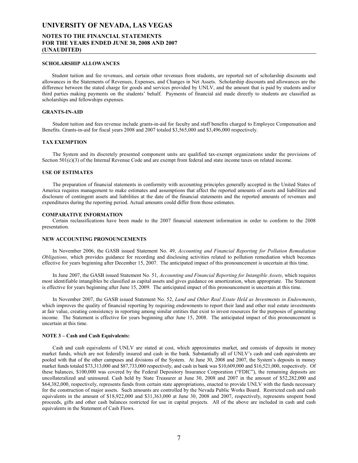### **NOTES TO THE FINANCIAL STATEMENTS FOR THE YEARS ENDED JUNE 30, 2008 AND 2007 (UNAUDITED)**

#### **SCHOLARSHIP ALLOWANCES**

 Student tuition and fee revenues, and certain other revenues from students, are reported net of scholarship discounts and allowances in the Statements of Revenues, Expenses, and Changes in Net Assets. Scholarship discounts and allowances are the difference between the stated charge for goods and services provided by UNLV, and the amount that is paid by students and/or third parties making payments on the students' behalf. Payments of financial aid made directly to students are classified as scholarships and fellowships expenses.

#### **GRANTS-IN-AID**

 Student tuition and fees revenue include grants-in-aid for faculty and staff benefits charged to Employee Compensation and Benefits. Grants-in-aid for fiscal years 2008 and 2007 totaled \$3,565,000 and \$3,496,000 respectively.

#### **TAX EXEMPTION**

 The System and its discretely presented component units are qualified tax-exempt organizations under the provisions of Section  $501(c)(3)$  of the Internal Revenue Code and are exempt from federal and state income taxes on related income.

#### **USE OF ESTIMATES**

 The preparation of financial statements in conformity with accounting principles generally accepted in the United States of America requires management to make estimates and assumptions that affect the reported amounts of assets and liabilities and disclosure of contingent assets and liabilities at the date of the financial statements and the reported amounts of revenues and expenditures during the reporting period. Actual amounts could differ from those estimates.

#### **COMPARATIVE INFORMATION**

 Certain reclassifications have been made to the 2007 financial statement information in order to conform to the 2008 presentation.

#### **NEW ACCOUNTING PRONOUNCEMENTS**

 In November 2006, the GASB issued Statement No. 49, *Accounting and Financial Reporting for Pollution Remediation Obligations,* which provides guidance for recording and disclosing activities related to pollution remediation which becomes effective for years beginning after December 15, 2007. The anticipated impact of this pronouncement is uncertain at this time.

 In June 2007, the GASB issued Statement No. 51, *Accounting and Financial Reporting for Intangible Assets*, which requires most identifiable intangibles be classified as capital assets and gives guidance on amortization, when appropriate. The Statement is effective for years beginning after June 15, 2009. The anticipated impact of this pronouncement is uncertain at this time.

 In November 2007, the GASB issued Statement No. 52, *Land and Other Real Estate Held as Investments in Endowments*, which improves the quality of financial reporting by requiring endowments to report their land and other real estate investments at fair value, creating consistency in reporting among similar entities that exist to invest resources for the purposes of generating income. The Statement is effective for years beginning after June 15, 2008. The anticipated impact of this pronouncement is uncertain at this time.

#### **NOTE 3 – Cash and Cash Equivalents:**

 Cash and cash equivalents of UNLV are stated at cost, which approximates market, and consists of deposits in money market funds, which are not federally insured and cash in the bank. Substantially all of UNLV's cash and cash equivalents are pooled with that of the other campuses and divisions of the System. At June 30, 2008 and 2007, the System's deposits in money market funds totaled \$73,313,000 and \$87,733,000 respectively, and cash in bank was \$10,609,000 and \$16,521,000, respectively. Of these balances, \$100,000 was covered by the Federal Depository Insurance Corporation ("FDIC"), the remaining deposits are uncollateralized and uninsured. Cash held by State Treasurer at June 30, 2008 and 2007 in the amount of \$52,282,000 and \$64,382,000, respectively, represents funds from certain state appropriations, enacted to provide UNLV with the funds necessary for the construction of major assets. Such amounts are controlled by the Nevada Public Works Board. Restricted cash and cash equivalents in the amount of \$18,922,000 and \$31,363,000 at June 30, 2008 and 2007, respectively, represents unspent bond proceeds, gifts and other cash balances restricted for use in capital projects. All of the above are included in cash and cash equivalents in the Statement of Cash Flows.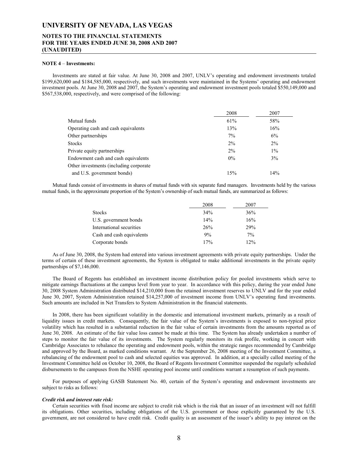### **NOTES TO THE FINANCIAL STATEMENTS FOR THE YEARS ENDED JUNE 30, 2008 AND 2007 (UNAUDITED)**

#### **NOTE 4** – **Investments:**

 Investments are stated at fair value. At June 30, 2008 and 2007, UNLV's operating and endowment investments totaled \$199,620,000 and \$184,585,000, respectively, and such investments were maintained in the Systems' operating and endowment investment pools. At June 30, 2008 and 2007, the System's operating and endowment investment pools totaled \$550,149,000 and \$567,538,000, respectively, and were comprised of the following:

|                                         | 2008  | 2007  |
|-----------------------------------------|-------|-------|
| Mutual funds                            | 61%   | 58%   |
| Operating cash and cash equivalents     | 13%   | 16%   |
| Other partnerships                      | $7\%$ | 6%    |
| <b>Stocks</b>                           | 2%    | 2%    |
| Private equity partnerships             | 2%    | $1\%$ |
| Endowment cash and cash equivalents     | $0\%$ | 3%    |
| Other investments (including corporate) |       |       |
| and U.S. government bonds)              | 15%   | 14%   |

 Mutual funds consist of investments in shares of mutual funds with six separate fund managers. Investments held by the various mutual funds, in the approximate proportion of the System's ownership of such mutual funds, are summarized as follows:

|                           | 2008 | 2007 |
|---------------------------|------|------|
| <b>Stocks</b>             | 34%  | 36%  |
| U.S. government bonds     | 14%  | 16%  |
| International securities  | 26%  | 29%  |
| Cash and cash equivalents | 9%   | 7%   |
| Corporate bonds           | 17%  | 12%  |

As of June 30, 2008, the System had entered into various investment agreements with private equity partnerships. Under the terms of certain of these investment agreements, the System is obligated to make additional investments in the private equity partnerships of \$7,146,000.

The Board of Regents has established an investment income distribution policy for pooled investments which serve to mitigate earnings fluctuations at the campus level from year to year. In accordance with this policy, during the year ended June 30, 2008 System Administration distributed \$14,210,000 from the retained investment reserves to UNLV and for the year ended June 30, 2007, System Administration retained \$14,257,000 of investment income from UNLV's operating fund investments. Such amounts are included in Net Transfers to System Administration in the financial statements.

In 2008, there has been significant volatility in the domestic and international investment markets, primarily as a result of liquidity issues in credit markets. Consequently, the fair value of the System's investments is exposed to non-typical price volatility which has resulted in a substantial reduction in the fair value of certain investments from the amounts reported as of June 30, 2008. An estimate of the fair value loss cannot be made at this time. The System has already undertaken a number of steps to monitor the fair value of its investments. The System regularly monitors its risk profile, working in concert with Cambridge Associates to rebalance the operating and endowment pools, within the strategic ranges recommended by Cambridge and approved by the Board, as marked conditions warrant. At the September 26, 2008 meeting of the Investment Committee, a rebalancing of the endowment pool to cash and selected equities was approved. In addition, at a specially called meeting of the Investment Committee held on October 10, 2008, the Board of Regents Investment Committee suspended the regularly scheduled disbursements to the campuses from the NSHE operating pool income until conditions warrant a resumption of such payments.

For purposes of applying GASB Statement No. 40, certain of the System's operating and endowment investments are subject to risks as follows:

#### *Credit risk and interest rate risk:*

Certain securities with fixed income are subject to credit risk which is the risk that an issuer of an investment will not fulfill its obligations. Other securities, including obligations of the U.S. government or those explicitly guaranteed by the U.S. government, are not considered to have credit risk. Credit quality is an assessment of the issuer's ability to pay interest on the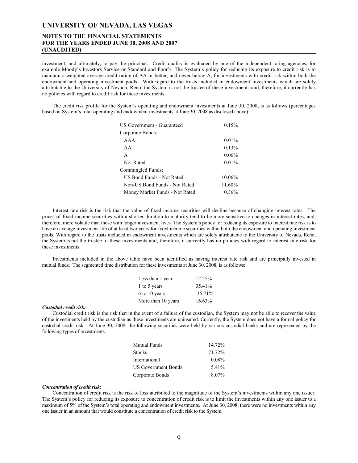### **NOTES TO THE FINANCIAL STATEMENTS FOR THE YEARS ENDED JUNE 30, 2008 AND 2007 (UNAUDITED)**

investment, and ultimately, to pay the principal. Credit quality is evaluated by one of the independent rating agencies, for example Moody's Investors Service or Standard and Poor's. The System's policy for reducing its exposure to credit risk is to maintain a weighted average credit rating of AA or better, and never below A, for investments with credit risk within both the endowment and operating investment pools. With regard to the trusts included in endowment investments which are solely attributable to the University of Nevada, Reno, the System is not the trustee of these investments and, therefore, it currently has no policies with regard to credit risk for these investments.

The credit risk profile for the System's operating and endowment investments at June 30, 2008, is as follows (percentages based on System's total operating and endowment investments at June 30, 2008 as disclosed above):

| US Government - Guaranteed     | 0.15%     |
|--------------------------------|-----------|
| Corporate Bonds:               |           |
| AAA                            | $0.01\%$  |
| AA                             | 0.13%     |
| A                              | 0.06%     |
| Not Rated                      | $0.01\%$  |
| Commingled Funds:              |           |
| US Bond Funds - Not Rated      | $10.06\%$ |
| Non-US Bond Funds - Not Rated  | 11.60%    |
| Money Market Funds - Not Rated | $0.36\%$  |

Interest rate risk is the risk that the value of fixed income securities will decline because of changing interest rates. The prices of fixed income securities with a shorter duration to maturity tend to be more sensitive to changes in interest rates, and, therefore, more volatile than those with longer investment lives. The System's policy for reducing its exposure to interest rate risk is to have an average investment life of at least two years for fixed income securities within both the endowment and operating investment pools. With regard to the trusts included in endowment investments which are solely attributable to the University of Nevada, Reno, the System is not the trustee of these investments and, therefore, it currently has no policies with regard to interest rate risk for these investments.

Investments included in the above table have been identified as having interest rate risk and are principally invested in mutual funds. The segmented time distribution for these investments at June 30, 2008, is as follows:

| Less than 1 year   | 12.25%    |
|--------------------|-----------|
| 1 to 5 years       | 35.41%    |
| 6 to 10 years      | 35.71%    |
| More than 10 years | $16.63\%$ |

#### *Custodial credit risk:*

Custodial credit risk is the risk that in the event of a failure of the custodian, the System may not be able to recover the value of the investments held by the custodian as these investments are uninsured. Currently, the System does not have a formal policy for custodial credit risk. At June 30, 2008, the following securities were held by various custodial banks and are represented by the following types of investments:

| <b>Mutual Funds</b>        | 14.72%   |
|----------------------------|----------|
| <b>Stocks</b>              | 71.72%   |
| International              | $0.08\%$ |
| <b>US Government Bonds</b> | 5.41%    |
| Corporate Bonds            | $8.07\%$ |

#### *Concentration of credit risk:*

Concentration of credit risk is the risk of loss attributed to the magnitude of the System's investments within any one issuer. The System's policy for reducing its exposure to concentration of credit risk is to limit the investments within any one issuer to a maximum of 5% of the System's total operating and endowment investments. At June 30, 2008, there were no investments within any one issuer in an amount that would constitute a concentration of credit risk to the System.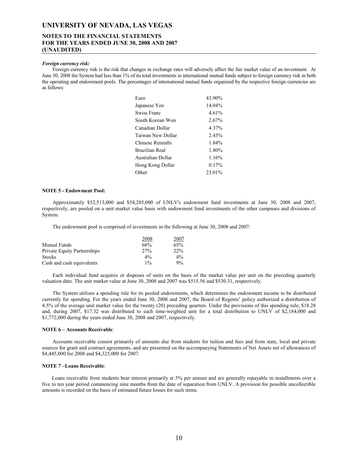### **NOTES TO THE FINANCIAL STATEMENTS FOR THE YEARS ENDED JUNE 30, 2008 AND 2007 (UNAUDITED)**

#### *Foreign currency risk:*

Foreign currency risk is the risk that changes in exchange rates will adversely affect the fair market value of an investment. At June 30, 2008 the System had less than 1% of its total investments in international mutual funds subject to foreign currency risk in both the operating and endowment pools. The percentages of international mutual funds organized by the respective foreign currencies are as follows:

| Euro              | 43 90% |
|-------------------|--------|
| Japanese Yen      | 14.04% |
| Swiss Franc       | 4.61%  |
| South Korean Won  | 2.67%  |
| Canadian Dollar   | 4.37%  |
| Taiwan New Dollar | 2.43%  |
| Chinese Renmibi   | 1.84%  |
| Brazilian Real    | 1.80%  |
| Australian Dollar | 1.16%  |
| Hong Kong Dollar  | 0.17%  |
| Other             | 23.01% |
|                   |        |

#### **NOTE 5 - Endowment Pool:**

Approximately \$52,513,000 and \$54,285,000 of UNLV's endowment fund investments at June 30, 2008 and 2007, respectively, are pooled on a unit market value basis with endowment fund investments of the other campuses and divisions of System.

The endowment pool is comprised of investments in the following at June 30, 2008 and 2007:

|                                    | 2008  | 2007  |
|------------------------------------|-------|-------|
| Mutual Funds                       | 68%   | 65%   |
| <b>Private Equity Partnerships</b> | 27%   | 22%   |
| <b>Stocks</b>                      | $4\%$ | $4\%$ |
| Cash and cash equivalents          | $1\%$ | 9%    |

 Each individual fund acquires or disposes of units on the basis of the market value per unit on the preceding quarterly valuation date. The unit market value at June 30, 2008 and 2007 was \$515.56 and \$530.31, respectively.

 The System utilizes a spending rule for its pooled endowments, which determines the endowment income to be distributed currently for spending. For the years ended June 30, 2008 and 2007, the Board of Regents' policy authorized a distribution of 4.5% of the average unit market value for the twenty (20) preceding quarters. Under the provisions of this spending rule, \$18.28 and, during 2007, \$17.32 was distributed to each time-weighted unit for a total distribution to UNLV of \$2,184,000 and \$1,772,000 during the years ended June 30, 2008 and 2007, respectively.

#### **NOTE 6 – Accounts Receivable**:

 Accounts receivable consist primarily of amounts due from students for tuition and fees and from state, local and private sources for grant and contract agreements, and are presented on the accompanying Statements of Net Assets net of allowances of \$4,445,000 for 2008 and \$4,325,000 for 2007.

#### **NOTE 7 –Loans Receivable**:

 Loans receivable from students bear interest primarily at 5% per annum and are generally repayable in installments over a five to ten year period commencing nine months from the date of separation from UNLV. A provision for possible uncollectible amounts is recorded on the basis of estimated future losses for such items.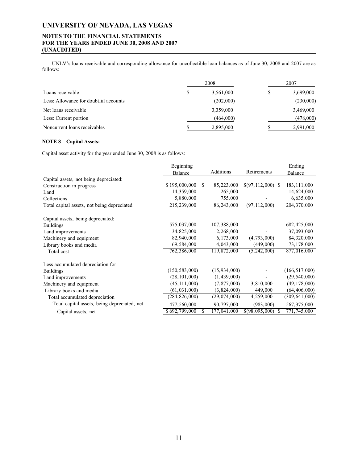### **NOTES TO THE FINANCIAL STATEMENTS FOR THE YEARS ENDED JUNE 30, 2008 AND 2007 (UNAUDITED)**

 UNLV's loans receivable and corresponding allowance for uncollectible loan balances as of June 30, 2008 and 2007 are as follows:

|                                       | 2008            | 2007 |           |  |  |
|---------------------------------------|-----------------|------|-----------|--|--|
| Loans receivable                      | \$<br>3,561,000 | S    | 3,699,000 |  |  |
| Less: Allowance for doubtful accounts | (202,000)       |      | (230,000) |  |  |
| Net loans receivable                  | 3,359,000       |      | 3,469,000 |  |  |
| Less: Current portion                 | (464,000)       |      | (478,000) |  |  |
| Noncurrent loans receivables          | 2,895,000       |      | 2,991,000 |  |  |

### **NOTE 8 – Capital Assets:**

Capital asset activity for the year ended June 30, 2008 is as follows:

|                                              | Beginning       |    |                  |                     |    | Ending          |
|----------------------------------------------|-----------------|----|------------------|---------------------|----|-----------------|
|                                              | Balance         |    | <b>Additions</b> | Retirements         |    | Balance         |
| Capital assets, not being depreciated:       |                 |    |                  |                     |    |                 |
| Construction in progress                     | \$195,000,000   | -S | 85,223,000       | $$(97,112,000)$ \\$ |    | 183, 111, 000   |
| Land                                         | 14,359,000      |    | 265,000          |                     |    | 14,624,000      |
| Collections                                  | 5,880,000       |    | 755,000          |                     |    | 6,635,000       |
| Total capital assets, not being depreciated  | 215,239,000     |    | 86,243,000       | (97, 112, 000)      |    | 204, 370, 000   |
| Capital assets, being depreciated:           |                 |    |                  |                     |    |                 |
| <b>Buildings</b>                             | 575,037,000     |    | 107,388,000      |                     |    | 682,425,000     |
| Land improvements                            | 34, 825, 000    |    | 2,268,000        |                     |    | 37,093,000      |
| Machinery and equipment                      | 82,940,000      |    | 6,173,000        | (4, 793, 000)       |    | 84,320,000      |
| Library books and media                      | 69,584,000      |    | 4,043,000        | (449,000)           |    | 73, 178, 000    |
| Total cost                                   | 762,386,000     |    | 119,872,000      | (5, 242, 000)       |    | 877,016,000     |
| Less accumulated depreciation for:           |                 |    |                  |                     |    |                 |
| <b>Buildings</b>                             | (150, 583, 000) |    | (15, 934, 000)   |                     |    | (166, 517, 000) |
| Land improvements                            | (28, 101, 000)  |    | (1,439,000)      |                     |    | (29, 540, 000)  |
| Machinery and equipment                      | (45, 111, 000)  |    | (7, 877, 000)    | 3,810,000           |    | (49, 178, 000)  |
| Library books and media                      | (61, 031, 000)  |    | (3,824,000)      | 449,000             |    | (64, 406, 000)  |
| Total accumulated depreciation               | (284, 826, 000) |    | (29, 074, 000)   | 4,259,000           |    | (309, 641, 000) |
| Total capital assets, being depreciated, net | 477,560,000     |    | 90,797,000       | (983,000)           |    | 567, 375, 000   |
| Capital assets, net                          | \$692,799,000   |    | 177,041,000      | \$(98,095,000)      | -S | 771,745,000     |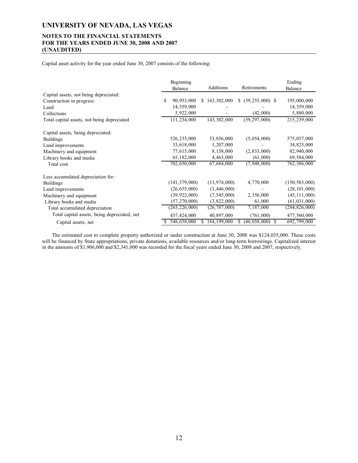### **NOTES TO THE FINANCIAL STATEMENTS FOR THE YEARS ENDED JUNE 30, 2008 AND 2007 (UNAUDITED)**

Capital asset activity for the year ended June 30, 2007 consists of the following:

|                                              |   | Beginning<br>Balance |    | Additions      | Retirements          | Ending<br>Balance |
|----------------------------------------------|---|----------------------|----|----------------|----------------------|-------------------|
| Capital assets, not being depreciated:       |   |                      |    |                |                      |                   |
| Construction in progress                     | S | 90,953,000           | S. | 143, 302, 000  | \$ (39, 255, 000) \$ | 195,000,000       |
| Land                                         |   | 14,359,000           |    |                |                      | 14,359,000        |
| Collections                                  |   | 5,922,000            |    |                | (42,000)             | 5,880,000         |
| Total capital assets, not being depreciated  |   | 111,234,000          |    | 143,302,000    | (39, 297, 000)       | 215,239,000       |
| Capital assets, being depreciated:           |   |                      |    |                |                      |                   |
| <b>Buildings</b>                             |   | 526, 235, 000        |    | 53,856,000     | (5,054,000)          | 575,037,000       |
| Land improvements                            |   | 33,618,000           |    | 1,207,000      |                      | 34,825,000        |
| Machinery and equipment                      |   | 77,615,000           |    | 8,158,000      | (2, 833, 000)        | 82,940,000        |
| Library books and media                      |   | 65, 182, 000         |    | 4,463,000      | (61,000)             | 69,584,000        |
| Total cost                                   |   | 702,650,000          |    | 67,684,000     | (7,948,000)          | 762,386,000       |
| Less accumulated depreciation for:           |   |                      |    |                |                      |                   |
| <b>Buildings</b>                             |   | (141, 379, 000)      |    | (13, 974, 000) | 4,770,000            | (150, 583, 000)   |
| Land improvements                            |   | (26, 655, 000)       |    | (1,446,000)    |                      | (28, 101, 000)    |
| Machinery and equipment                      |   | (39, 922, 000)       |    | (7, 545, 000)  | 2,356,000            | (45, 111, 000)    |
| Library books and media                      |   | (57, 270, 000)       |    | (3,822,000)    | 61,000               | (61, 031, 000)    |
| Total accumulated depreciation               |   | (265, 226, 000)      |    | (26, 787, 000) | 7,187,000            | (284, 826, 000)   |
| Total capital assets, being depreciated, net |   | 437, 424, 000        |    | 40,897,000     | (761,000)            | 477,560,000       |
| Capital assets, net                          |   | 548,658,000          |    | 184, 199, 000  | (40, 058, 000)       | 692,799,000       |

 The estimated cost to complete property authorized or under construction at June 30, 2008 was \$124,035,000. These costs will be financed by State appropriations, private donations, available resources and/or long-term borrowings. Capitalized interest in the amounts of \$1,906,000 and \$2,341,000 was recorded for the fiscal years ended June 30, 2008 and 2007, respectively.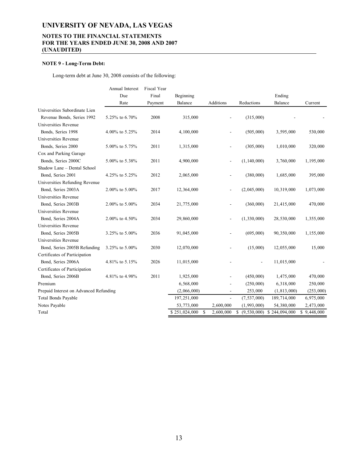### **NOTES TO THE FINANCIAL STATEMENTS FOR THE YEARS ENDED JUNE 30, 2008 AND 2007 (UNAUDITED)**

### **NOTE 9 - Long-Term Debt:**

Long-term debt at June 30, 2008 consists of the following:

|                                        | Annual Interest | Fiscal Year |                     |                          |               |                              |             |
|----------------------------------------|-----------------|-------------|---------------------|--------------------------|---------------|------------------------------|-------------|
|                                        | Due             | Final       | Beginning           |                          |               | Ending                       |             |
|                                        | Rate            | Payment     | Balance             | Additions                | Reductions    | Balance                      | Current     |
| Universities Subordinate Lien          |                 |             |                     |                          |               |                              |             |
| Revenue Bonds, Series 1992             | 5.25% to 6.70%  | 2008        | 315,000             |                          | (315,000)     |                              |             |
| Universities Revenue                   |                 |             |                     |                          |               |                              |             |
| Bonds, Series 1998                     | 4.00% to 5.25%  | 2014        | 4,100,000           |                          | (505,000)     | 3,595,000                    | 530,000     |
| Universities Revenue                   |                 |             |                     |                          |               |                              |             |
| Bonds, Series 2000                     | 5.00% to 5.75%  | 2011        | 1,315,000           | $\blacksquare$           | (305,000)     | 1,010,000                    | 320,000     |
| Cox and Parking Garage                 |                 |             |                     |                          |               |                              |             |
| Bonds, Series 2000C                    | 5.00% to 5.38%  | 2011        | 4,900,000           | $\overline{\phantom{a}}$ | (1, 140, 000) | 3,760,000                    | 1,195,000   |
| Shadow Lane - Dental School            |                 |             |                     |                          |               |                              |             |
| Bond, Series 2001                      | 4.25% to 5.25%  | 2012        | 2,065,000           |                          | (380,000)     | 1,685,000                    | 395,000     |
| Universities Refunding Revenue         |                 |             |                     |                          |               |                              |             |
| Bond, Series 2003A                     | 2.00% to 5.00%  | 2017        | 12,364,000          |                          | (2,045,000)   | 10,319,000                   | 1,073,000   |
| Universities Revenue                   |                 |             |                     |                          |               |                              |             |
| Bond, Series 2003B                     | 2.00% to 5.00%  | 2034        | 21,775,000          |                          | (360,000)     | 21,415,000                   | 470,000     |
| Universities Revenue                   |                 |             |                     |                          |               |                              |             |
| Bond, Series 2004A                     | 2.00% to 4.50%  | 2034        | 29,860,000          |                          | (1,330,000)   | 28,530,000                   | 1,355,000   |
| Universities Revenue                   |                 |             |                     |                          |               |                              |             |
| Bond, Series 2005B                     | 3.25% to 5.00%  | 2036        | 91,045,000          |                          | (695,000)     | 90,350,000                   | 1,155,000   |
| Universities Revenue                   |                 |             |                     |                          |               |                              |             |
| Bond, Series 2005B Refunding           | 3.25% to 5.00%  | 2030        | 12,070,000          |                          | (15,000)      | 12,055,000                   | 15,000      |
| Certificates of Participation          |                 |             |                     |                          |               |                              |             |
| Bond, Series 2006A                     | 4.81% to 5.15%  | 2026        | 11,015,000          |                          |               | 11,015,000                   |             |
| Certificates of Participation          |                 |             |                     |                          |               |                              |             |
| Bond, Series 2006B                     | 4.81% to 4.98%  | 2011        | 1,925,000           |                          | (450,000)     | 1,475,000                    | 470,000     |
| Premium                                |                 |             | 6,568,000           |                          | (250,000)     | 6,318,000                    | 250,000     |
| Prepaid Interest on Advanced Refunding |                 |             | (2,066,000)         | $\overline{\phantom{a}}$ | 253,000       | (1, 813, 000)                | (253,000)   |
| <b>Total Bonds Payable</b>             |                 |             | 197,251,000         | $\overline{\phantom{a}}$ | (7, 537, 000) | 189,714,000                  | 6,975,000   |
| Notes Payable                          |                 |             | 53,773,000          | 2,600,000                | (1,993,000)   | 54,380,000                   | 2,473,000   |
| Total                                  |                 |             | \$251,024,000<br>\$ | 2,600,000                | \$            | $(9,530,000)$ \$ 244,094,000 | \$9,448,000 |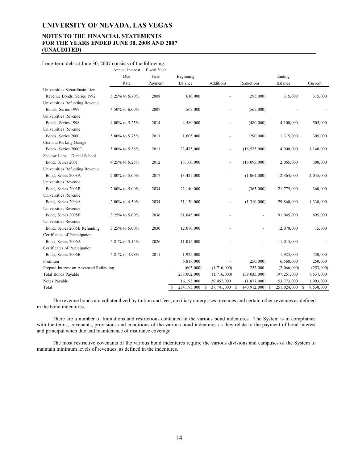### **NOTES TO THE FINANCIAL STATEMENTS FOR THE YEARS ENDED JUNE 30, 2008 AND 2007 (UNAUDITED)**

#### Long-term debt at June 30, 2007 consists of the following:

|                                        | Annual Interest | Fiscal Year |                          |                          |                     |             |                 |
|----------------------------------------|-----------------|-------------|--------------------------|--------------------------|---------------------|-------------|-----------------|
|                                        | Due             | Final       | Beginning                |                          |                     | Ending      |                 |
|                                        | Rate            | Payment     | Balance                  | <b>Additions</b>         | Reductions          | Balance     | Current         |
| Universities Subordinate Lien          |                 |             |                          |                          |                     |             |                 |
| Revenue Bonds, Series 1992             | 5.25% to 6.70%  | 2008        | 610,000                  |                          | (295,000)           | 315,000     | 315,000         |
| Universities Refunding Revenue         |                 |             |                          |                          |                     |             |                 |
| Bonds, Series 1997                     | 4.50% to 6.00%  | 2007        | 567,000                  |                          | (567,000)           |             |                 |
| Universities Revenue                   |                 |             |                          |                          |                     |             |                 |
| Bonds, Series 1998                     | 4.00% to 5.25%  | 2014        | 4,580,000                | $\overline{a}$           | (480,000)           | 4,100,000   | 505,000         |
| Universities Revenue                   |                 |             |                          |                          |                     |             |                 |
| Bonds, Series 2000                     | 5.00% to 5.75%  | 2011        | 1,605,000                |                          | (290,000)           | 1,315,000   | 305,000         |
| Cox and Parking Garage                 |                 |             |                          |                          |                     |             |                 |
| Bonds, Series 2000C                    | 5.00% to 5.38%  | 2011        | 23,475,000               | $\overline{\phantom{a}}$ | (18, 575, 000)      | 4,900,000   | 1,140,000       |
| Shadow Lane - Dental School            |                 |             |                          |                          |                     |             |                 |
| Bond, Series 2001                      | 4.25% to 5.25%  | 2012        | 18,160,000               |                          | (16,095,000)        | 2,065,000   | 380,000         |
| Universities Refunding Revenue         |                 |             |                          |                          |                     |             |                 |
| Bond, Series 2003A                     | 2.00% to 5.00%  | 2017        | 13,425,000               |                          | (1,061,000)         | 12,364,000  | 2,045,000       |
| Universities Revenue                   |                 |             |                          |                          |                     |             |                 |
| Bond, Series 2003B                     | 2.00% to 5.00%  | 2034        | 22,140,000               | $\overline{a}$           | (365,000)           | 21,775,000  | 360,000         |
| Universities Revenue                   |                 |             |                          |                          |                     |             |                 |
| Bond, Series 2004A                     | 2.00% to 4.50%  | 2034        | 31,170,000               |                          | (1,310,000)         | 29,860,000  | 1,330,000       |
| Universities Revenue                   |                 |             |                          |                          |                     |             |                 |
| Bond, Series 2005B                     | 3.25% to 5.00%  | 2036        | 91,045,000               |                          |                     | 91,045,000  | 695,000         |
| Universities Revenue                   |                 |             |                          |                          |                     |             |                 |
| Bond, Series 2005B Refunding           | 3.25% to 5.00%  | 2030        | 12,070,000               |                          |                     | 12,070,000  | 15,000          |
| Certificates of Participation          |                 |             |                          |                          |                     |             |                 |
| Bond, Series 2006A                     | 4.81% to 5.15%  | 2026        | 11,015,000               |                          |                     | 11,015,000  |                 |
| Certificates of Participation          |                 |             |                          |                          |                     |             |                 |
| Bond, Series 2006B                     | 4.81% to 4.98%  | 2011        | 1,925,000                |                          |                     | 1,925,000   | 450,000         |
| Premium                                |                 |             | 6,818,000                |                          | (250,000)           | 6,568,000   | 250,000         |
| Prepaid Interest on Advanced Refunding |                 |             | (603,000)                | (1,716,000)              | 253,000             | (2,066,000) | (253,000)       |
| Total Bonds Payable                    |                 |             | 238,002,000              | (1,716,000)              | (39, 035, 000)      | 197,251,000 | 7,537,000       |
| Notes Payable                          |                 |             | 16, 193, 000             | 39,457,000               | (1, 877, 000)       | 53,773,000  | 1,993,000       |
| Total                                  |                 |             | S<br>254, 195, 000<br>\$ | 37,741,000<br>- \$       | $(40, 912, 000)$ \$ | 251,024,000 | 9,530,000<br>\$ |

 The revenue bonds are collateralized by tuition and fees, auxiliary enterprises revenues and certain other revenues as defined in the bond indentures.

 There are a number of limitations and restrictions contained in the various bond indentures. The System is in compliance with the terms, covenants, provisions and conditions of the various bond indentures as they relate to the payment of bond interest and principal when due and maintenance of insurance coverage.

 The most restrictive covenants of the various bond indentures require the various divisions and campuses of the System to maintain minimum levels of revenues, as defined in the indentures.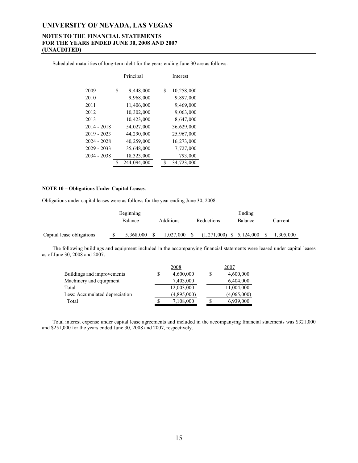### **NOTES TO THE FINANCIAL STATEMENTS FOR THE YEARS ENDED JUNE 30, 2008 AND 2007 (UNAUDITED)**

Scheduled maturities of long-term debt for the years ending June 30 are as follows:

|               | Principal         | Interest |             |  |  |  |
|---------------|-------------------|----------|-------------|--|--|--|
| 2009          | \$<br>9,448,000   | \$       | 10,258,000  |  |  |  |
| 2010          | 9,968,000         |          | 9,897,000   |  |  |  |
| 2011          | 11,406,000        |          | 9,469,000   |  |  |  |
| 2012          | 10,302,000        |          | 9,063,000   |  |  |  |
| 2013          | 10,423,000        |          | 8,647,000   |  |  |  |
| $2014 - 2018$ | 54,027,000        |          | 36,629,000  |  |  |  |
| $2019 - 2023$ | 44,290,000        |          | 25,967,000  |  |  |  |
| $2024 - 2028$ | 40,259,000        |          | 16,273,000  |  |  |  |
| $2029 - 2033$ | 35,648,000        |          | 7,727,000   |  |  |  |
| 2034 - 2038   | 18,323,000        |          | 793,000     |  |  |  |
|               | \$<br>244,094,000 | S        | 134,723,000 |  |  |  |

#### **NOTE 10 – Obligations Under Capital Leases**:

Obligations under capital leases were as follows for the year ending June 30, 2008:

|                           | Beginning |  |                |  | Ending                     |  |         |     |           |  |  |
|---------------------------|-----------|--|----------------|--|----------------------------|--|---------|-----|-----------|--|--|
|                           | Balance   |  | Additions      |  | Reductions                 |  | Balance |     | Current   |  |  |
| Capital lease obligations | 5.368.000 |  | $1,027,000$ \$ |  | $(1,271,000)$ \$ 5,124,000 |  |         | - S | 1,305,000 |  |  |

 The following buildings and equipment included in the accompanying financial statements were leased under capital leases as of June 30, 2008 and 2007:

|                                | 2008        | 2007        |
|--------------------------------|-------------|-------------|
| Buildings and improvements     | 4,600,000   | 4,600,000   |
| Machinery and equipment        | 7,403,000   | 6,404,000   |
| Total                          | 12,003,000  | 11,004,000  |
| Less: Accumulated depreciation | (4,895,000) | (4,065,000) |
| Total                          | 7,108,000   | 6,939,000   |

 Total interest expense under capital lease agreements and included in the accompanying financial statements was \$321,000 and \$251,000 for the years ended June 30, 2008 and 2007, respectively.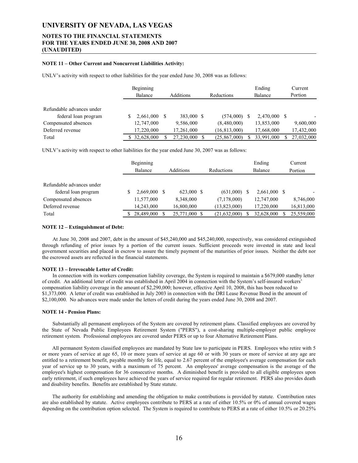### **NOTES TO THE FINANCIAL STATEMENTS FOR THE YEARS ENDED JUNE 30, 2008 AND 2007 (UNAUDITED)**

#### **NOTE 11 – Other Current and Noncurrent Liabilities Activity:**

UNLV's activity with respect to other liabilities for the year ended June 30, 2008 was as follows:

|                           | Beginning<br>Balance | <b>Additions</b> | Reductions     |    | Ending<br>Balance | Current<br>Portion |
|---------------------------|----------------------|------------------|----------------|----|-------------------|--------------------|
| Refundable advances under |                      |                  |                |    |                   |                    |
| federal loan program      | 2,661,000            | 383,000 \$       | (574,000)      |    | $2,470,000$ \$    |                    |
| Compensated absences      | 12,747,000           | 9,586,000        | (8,480,000)    |    | 13,853,000        | 9,600,000          |
| Deferred revenue          | 17,220,000           | 17,261,000       | (16, 813, 000) |    | 17,668,000        | 17,432,000         |
| Total                     | \$32,628,000         | 27,230,000 \$    | (25, 867, 000) | S. | 33,991,000        | 27,032,000         |

UNLV's activity with respect to other liabilities for the year ended June 30, 2007 was as follows:

|                                                   | Beginning<br>Balance | <b>Additions</b> | Reductions   | Ending<br>Balance | Current<br>Portion |
|---------------------------------------------------|----------------------|------------------|--------------|-------------------|--------------------|
| Refundable advances under<br>federal loan program | 2,669,000            | 623,000 \$       | (631,000)    | $2,661,000$ \$    |                    |
| Compensated absences                              | 11,577,000           | 8.348.000        | (7,178,000)  | 12,747,000        | 8,746,000          |
| Deferred revenue                                  | 14,243,000           | 16,800,000       | (13,823,000) | 17,220,000        | 16,813,000         |
| Total                                             | 28,489,000           | 25,771,000 \$    | (21,632,000) | 32,628,000        | 25,559,000         |

#### **NOTE 12 – Extinguishment of Debt:**

 At June 30, 2008 and 2007, debt in the amount of \$45,240,000 and \$45,240,000, respectively, was considered extinguished through refunding of prior issues by a portion of the current issues. Sufficient proceeds were invested in state and local government securities and placed in escrow to assure the timely payment of the maturities of prior issues. Neither the debt nor the escrowed assets are reflected in the financial statements.

#### **NOTE 13 – Irrevocable Letter of Credit:**

 In connection with its workers compensation liability coverage, the System is required to maintain a \$679,000 standby letter of credit. An additional letter of credit was established in April 2004 in connection with the System's self-insured workers' compensation liability coverage in the amount of \$2,290,000; however, effective April 10, 2008, this has been reduced to \$1,373,000. A letter of credit was established in July 2003 in connection with the DRI Lease Revenue Bond in the amount of \$2,100,000. No advances were made under the letters of credit during the years ended June 30, 2008 and 2007.

#### **NOTE 14 - Pension Plans:**

 Substantially all permanent employees of the System are covered by retirement plans. Classified employees are covered by the State of Nevada Public Employees Retirement System ("PERS"), a cost-sharing multiple-employer public employee retirement system. Professional employees are covered under PERS or up to four Alternative Retirement Plans.

 All permanent System classified employees are mandated by State law to participate in PERS. Employees who retire with 5 or more years of service at age 65, 10 or more years of service at age 60 or with 30 years or more of service at any age are entitled to a retirement benefit, payable monthly for life, equal to 2.67 percent of the employee's average compensation for each year of service up to 30 years, with a maximum of 75 percent. An employees' average compensation is the average of the employee's highest compensation for 36 consecutive months. A diminished benefit is provided to all eligible employees upon early retirement, if such employees have achieved the years of service required for regular retirement. PERS also provides death and disability benefits. Benefits are established by State statute.

 The authority for establishing and amending the obligation to make contributions is provided by statute. Contribution rates are also established by statute. Active employees contribute to PERS at a rate of either 10.5% or 0% of annual covered wages depending on the contribution option selected. The System is required to contribute to PERS at a rate of either 10.5% or 20.25%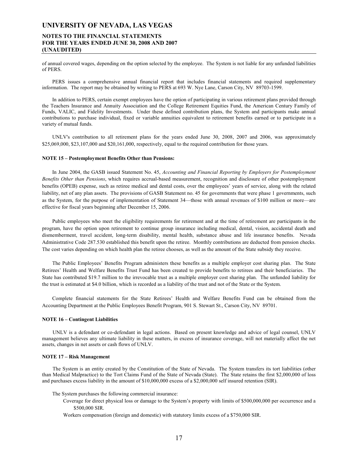### **NOTES TO THE FINANCIAL STATEMENTS FOR THE YEARS ENDED JUNE 30, 2008 AND 2007 (UNAUDITED)**

of annual covered wages, depending on the option selected by the employee. The System is not liable for any unfunded liabilities of PERS.

 PERS issues a comprehensive annual financial report that includes financial statements and required supplementary information. The report may be obtained by writing to PERS at 693 W. Nye Lane, Carson City, NV 89703-1599.

 In addition to PERS, certain exempt employees have the option of participating in various retirement plans provided through the Teachers Insurance and Annuity Association and the College Retirement Equities Fund, the American Century Family of Funds, VALIC, and Fidelity Investments. Under these defined contribution plans, the System and participants make annual contributions to purchase individual, fixed or variable annuities equivalent to retirement benefits earned or to participate in a variety of mutual funds.

 UNLV's contribution to all retirement plans for the years ended June 30, 2008, 2007 and 2006, was approximately \$25,069,000, \$23,107,000 and \$20,161,000, respectively, equal to the required contribution for those years.

#### **NOTE 15 – Postemployment Benefits Other than Pensions:**

 In June 2004, the GASB issued Statement No. 45, *Accounting and Financial Reporting by Employers for Postemployment Benefits Other than Pensions*, which requires accrual-based measurement, recognition and disclosure of other postemployment benefits (OPEB) expense, such as retiree medical and dental costs, over the employees' years of service, along with the related liability, net of any plan assets. The provisions of GASB Statement no. 45 for governments that were phase 1 governments, such as the System, for the purpose of implementation of Statement 34—those with annual revenues of \$100 million or more—are effective for fiscal years beginning after December 15, 2006.

 Public employees who meet the eligibility requirements for retirement and at the time of retirement are participants in the program, have the option upon retirement to continue group insurance including medical, dental, vision, accidental death and dismemberment, travel accident, long-term disability, mental health, substance abuse and life insurance benefits. Nevada Administrative Code 287.530 established this benefit upon the retiree. Monthly contributions are deducted from pension checks. The cost varies depending on which health plan the retiree chooses, as well as the amount of the State subsidy they receive.

 The Public Employees' Benefits Program administers these benefits as a multiple employer cost sharing plan. The State Retirees' Health and Welfare Benefits Trust Fund has been created to provide benefits to retirees and their beneficiaries. The State has contributed \$19.7 million to the irrevocable trust as a multiple employer cost sharing plan. The unfunded liability for the trust is estimated at \$4.0 billion, which is recorded as a liability of the trust and not of the State or the System.

 Complete financial statements for the State Retirees' Health and Welfare Benefits Fund can be obtained from the Accounting Department at the Public Employees Benefit Program, 901 S. Stewart St., Carson City, NV 89701.

#### **NOTE 16 – Contingent Liabilities**

 UNLV is a defendant or co-defendant in legal actions. Based on present knowledge and advice of legal counsel, UNLV management believes any ultimate liability in these matters, in excess of insurance coverage, will not materially affect the net assets, changes in net assets or cash flows of UNLV.

#### **NOTE 17 – Risk Management**

 The System is an entity created by the Constitution of the State of Nevada. The System transfers its tort liabilities (other than Medical Malpractice) to the Tort Claims Fund of the State of Nevada (State). The State retains the first \$2,000,000 of loss and purchases excess liability in the amount of \$10,000,000 excess of a \$2,000,000 self insured retention (SIR).

- The System purchases the following commercial insurance:
	- Coverage for direct physical loss or damage to the System's property with limits of \$500,000,000 per occurrence and a \$500,000 SIR.
	- Workers compensation (foreign and domestic) with statutory limits excess of a \$750,000 SIR.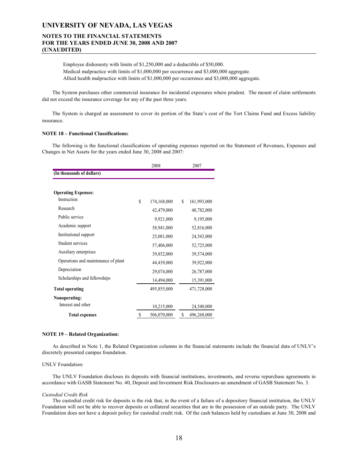### **NOTES TO THE FINANCIAL STATEMENTS FOR THE YEARS ENDED JUNE 30, 2008 AND 2007 (UNAUDITED)**

 Employee dishonesty with limits of \$1,250,000 and a deductible of \$50,000. Medical malpractice with limits of \$1,000,000 per occurrence and \$3,000,000 aggregate. Allied health malpractice with limits of \$1,000,000 per occurrence and \$3,000,000 aggregate.

 The System purchases other commercial insurance for incidental exposures where prudent. The mount of claim settlements did not exceed the insurance coverage for any of the past three years.

 The System is charged an assessment to cover its portion of the State's cost of the Tort Claims Fund and Excess liability insurance.

#### **NOTE 18 – Functional Classifications:**

 The following is the functional classifications of operating expenses reported on the Statement of Revenues, Expenses and Changes in Net Assets for the years ended June 30, 2008 and 2007:

|                                     | 2008 |             |   | 2007        |  |  |  |
|-------------------------------------|------|-------------|---|-------------|--|--|--|
| (In thousands of dollars)           |      |             |   |             |  |  |  |
| <b>Operating Expenses:</b>          |      |             |   |             |  |  |  |
| Instruction                         | \$   | 174,168,000 | S | 161,993,000 |  |  |  |
| Research                            |      | 42,479,000  |   | 48,782,000  |  |  |  |
| Public service                      |      | 9,921,000   |   | 9,195,000   |  |  |  |
| Academic support                    |      | 58,941,000  |   | 52,816,000  |  |  |  |
| Institutional support               |      | 25,081,000  |   | 24,543,000  |  |  |  |
| Student services                    |      | 57,406,000  |   | 52,725,000  |  |  |  |
| Auxiliary enterprises               |      | 39,852,000  |   | 39,574,000  |  |  |  |
| Operations and maintenance of plant |      | 44,439,000  |   | 39,922,000  |  |  |  |
| Depreciation                        |      | 29,074,000  |   | 26,787,000  |  |  |  |
| Scholarships and fellowships        |      | 14,494,000  |   | 15,391,000  |  |  |  |
| <b>Total operating</b>              |      | 495,855,000 |   | 471,728,000 |  |  |  |
| Nonoperating:                       |      |             |   |             |  |  |  |
| Interest and other                  |      | 10,215,000  |   | 24,540,000  |  |  |  |
| <b>Total expenses</b>               | \$   | 506,070,000 | S | 496,268,000 |  |  |  |

#### **NOTE 19 – Related Organization:**

 As described in Note 1, the Related Organization columns in the financial statements include the financial data of UNLV's discretely presented campus foundation.

#### UNLV Foundation:

 The UNLV Foundation discloses its deposits with financial institutions, investments, and reverse repurchase agreements in accordance with GASB Statement No. 40, Deposit and Investment Risk Disclosures-an amendment of GASB Statement No. 3.

#### *Custodial Credit Risk*

 The custodial credit risk for deposits is the risk that, in the event of a failure of a depository financial institution, the UNLV Foundation will not be able to recover deposits or collateral securities that are in the possession of an outside party. The UNLV Foundation does not have a deposit policy for custodial credit risk. Of the cash balances held by custodians at June 30, 2008 and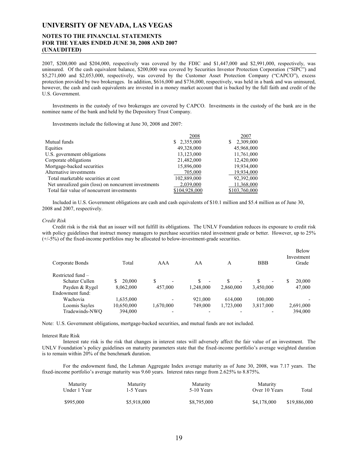### **NOTES TO THE FINANCIAL STATEMENTS FOR THE YEARS ENDED JUNE 30, 2008 AND 2007 (UNAUDITED)**

2007, \$200,000 and \$204,000, respectively was covered by the FDIC and \$1,447,000 and \$2,991,000, respectively, was uninsured. Of the cash equivalent balance, \$200,000 was covered by Securities Investor Protection Corporation ("SIPC") and \$5,271,000 and \$2,053,000, respectively, was covered by the Customer Asset Protection Company ("CAPCO"), excess protection provided by two brokerages. In addition, \$616,000 and \$736,000, respectively, was held in a bank and was uninsured, however, the cash and cash equivalents are invested in a money market account that is backed by the full faith and credit of the U.S. Government.

 Investments in the custody of two brokerages are covered by CAPCO. Investments in the custody of the bank are in the nominee name of the bank and held by the Depository Trust Company.

Investments include the following at June 30, 2008 and 2007:

|                                                      | 2008          | 2007           |
|------------------------------------------------------|---------------|----------------|
| Mutual funds                                         | \$2,355,000   | 2,309,000<br>S |
| Equities                                             | 49,328,000    | 45,968,000     |
| U.S. government obligations                          | 13,123,000    | 11,761,000     |
| Corporate obligations                                | 21,482,000    | 12,420,000     |
| Mortgage-backed securities                           | 15,896,000    | 19,934,000     |
| Alternative investments                              | 705,000       | 19,934,000     |
| Total marketable securities at cost                  | 102,889,000   | 92,392,000     |
| Net unrealized gain (loss) on noncurrent investments | 2,039,000     | 11,368,000     |
| Total fair value of noncurrent investments           | \$104,928,000 | \$103,760,000  |

 Included in U.S. Government obligations are cash and cash equivalents of \$10.1 million and \$5.4 million as of June 30, 2008 and 2007, respectively.

#### *Credit Risk*

 Credit risk is the risk that an issuer will not fulfill its obligations. The UNLV Foundation reduces its exposure to credit risk with policy guidelines that instruct money managers to purchase securities rated investment grade or better. However, up to 25%  $(+/-5%)$  of the fixed-income portfolios may be allocated to below-investment-grade securities.

| Corporate Bonds   | Total      | AAA                      | AA                            | A                             | <b>BBB</b>                    | <b>Below</b><br>Investment<br>Grade |
|-------------------|------------|--------------------------|-------------------------------|-------------------------------|-------------------------------|-------------------------------------|
| Restricted fund - |            |                          |                               |                               |                               |                                     |
| Schater Cullen    | 20,000     |                          | S<br>$\overline{\phantom{a}}$ | S<br>$\overline{\phantom{a}}$ | S<br>$\overline{\phantom{0}}$ | 20.000<br>S                         |
| Payden & Rygel    | 8,062,000  | 457,000                  | 1.248.000                     | 2.860,000                     | 3,450,000                     | 47,000                              |
| Endowment fund:   |            |                          |                               |                               |                               |                                     |
| Wachovia          | 1,635,000  | $\overline{\phantom{0}}$ | 921,000                       | 614.000                       | 100.000                       |                                     |
| Loomis Sayles     | 10,650,000 | 1,670,000                | 749,000                       | 1,723,000                     | 3,817,000                     | 2,691,000                           |
| Tradewinds-NWO    | 394,000    |                          |                               |                               |                               | 394,000                             |

Note: U.S. Government obligations, mortgage-backed securities, and mutual funds are not included.

#### Interest Rate Risk

 Interest rate risk is the risk that changes in interest rates will adversely affect the fair value of an investment. The UNLV Foundation's policy guidelines on maturity parameters state that the fixed-income portfolio's average weighted duration is to remain within 20% of the benchmark duration.

 For the endowment fund, the Lehman Aggregate Index average maturity as of June 30, 2008, was 7.17 years. The fixed-income portfolio's average maturity was 9.60 years. Interest rates range from 2.625% to 8.875%.

| Maturity<br>Under 1 Year | <b>Maturity</b><br>1-5 Years | Maturity<br>5-10 Years | <b>Maturity</b><br>Over 10 Years | Total        |
|--------------------------|------------------------------|------------------------|----------------------------------|--------------|
| \$995,000                | \$5,918,000                  | \$8,795,000            | \$4,178,000                      | \$19,886,000 |